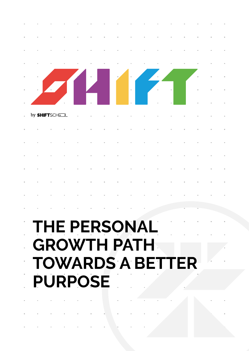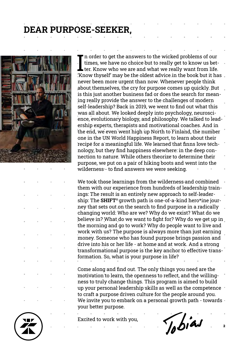## **DEAR PURPOSE-SEEKER,**



I'm order to get the answers to the wicked problems of our times, we have no choice but to really get to know us better. Know who we are and what we really want from life.<br>Throw thyself' may be the oldest advice in the boo n order to get the answers to the wicked problems of our times, we have no choice but to really get to know us bet- $\blacksquare$  ter. Know who we are and what we really want from life. never been more urgent than now. Whenever people think about themselves, the cry for purpose comes up quickly. But is this just another business fad or does the search for meaning really provide the answer to the challenges of modern self-leadership? Back in 2019, we went to find out what this was all about. We looked deeply into psychology, neuroscience, evolutionary biology, and philosophy. We talked to leadership experts, therapists and motivational coaches. And in the end, we even went high up North to Finland, the number one in the UN World Happiness Report, to learn about their recipe for a meaningful life. We learned that finns love technology, but they find happiness elsewhere: in the deep connection to nature. While others theorize to determine their purpose, we put on a pair of hiking boots and went into the wilderness - to find answers we were seeking.

We took those learnings from the wilderness and combined them with our experience from hundreds of leadership trainings: The result is an entirely new approach to self-leadership: The **SHIFT®** growth path is one-of-a-kind hero\*ine journey that sets out on the search to find purpose in a radically changing world: Who are we? Why do we exist? What do we believe in? What do we want to fight for? Why do we get up in the morning and go to work? Why do people want to live and work with us? The purpose is always more than just earning money. Someone who has found purpose brings passion and drive into his or her life - at home and at work. And a strong transformational purpose is the key anchor to effective transformation. So, what is your purpose in life?

Come along and find out. The only things you need are the motivation to learn, the openness to reflect, and the willingness to truly change things. This program is aimed to build up your personal leadership skills as well as the competence to craft a purpose driven culture for the people around you. We invite you to embark on a personal growth path - towards your better purpose.

Excited to work with you,

Jobias

 $\overline{2}$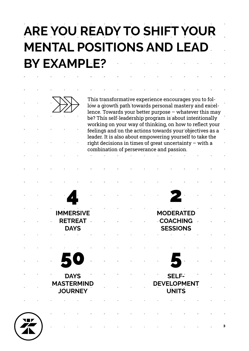## **ARE YOU READY TO SHIFT YOUR MENTAL POSITIONS AND LEAD BY EXAMPLE?**



This transformative experience encourages you to follow a growth path towards personal mastery and excellence. Towards your better purpose – whatever this may be? This self-leadership program is about intentionally working on your way of thinking, on how to reflect your feelings and on the actions towards your objectives as a leader. It is also about empowering yourself to take the right decisions in times of great uncertainty – with a combination of perseverance and passion.

|  |          |                                     | $\overline{\phantom{a}}$      |           |                 | the contract of the contract of                                                                                                 |                |                 | <b>STAR</b>                        |     |                |   |
|--|----------|-------------------------------------|-------------------------------|-----------|-----------------|---------------------------------------------------------------------------------------------------------------------------------|----------------|-----------------|------------------------------------|-----|----------------|---|
|  |          | <b>IMMERSIVE</b>                    |                               |           |                 |                                                                                                                                 |                |                 | <b>MODERATED</b>                   |     |                |   |
|  | $\alpha$ |                                     | <b>RETREAT</b><br><b>DAYS</b> | $\bar{a}$ |                 |                                                                                                                                 | $\mathbb{R}^d$ |                 | <b>COACHING</b><br><b>SESSIONS</b> |     | $\bar{\alpha}$ |   |
|  |          |                                     |                               |           |                 |                                                                                                                                 |                |                 |                                    |     |                |   |
|  |          |                                     |                               |           |                 |                                                                                                                                 |                |                 |                                    |     |                |   |
|  | $\sim$   |                                     |                               | $\sim$ 10 | $\mathcal{M}$ . | $\mathcal{L}^{\mathcal{L}}$ , where $\mathcal{L}^{\mathcal{L}}$ and $\mathcal{L}^{\mathcal{L}}$ and $\mathcal{L}^{\mathcal{L}}$ |                | $\sim$ 10 $\mu$ |                                    | \ = |                |   |
|  |          |                                     | <b>DAYS</b>                   |           |                 |                                                                                                                                 |                | Ξ               | SELF-                              |     |                |   |
|  |          | <b>MASTERMIND</b><br><b>JOURNEY</b> |                               |           | н.              |                                                                                                                                 | <b>ALC</b>     |                 | <b>DEVELOPMENT</b><br><b>UNITS</b> |     |                |   |
|  |          |                                     |                               |           |                 |                                                                                                                                 |                |                 |                                    |     |                |   |
|  |          |                                     |                               |           |                 |                                                                                                                                 |                |                 |                                    |     |                |   |
|  |          |                                     |                               |           |                 |                                                                                                                                 |                |                 |                                    |     |                | 3 |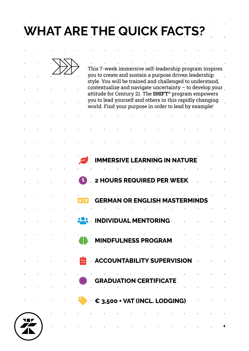# **WHAT ARE THE QUICK FACTS?**

and the contract of the contract of the contract of the contract of the contract of the contract of

|  |  |  | This 7-week immersive self-leadership program inspires<br>you to create and sustain a purpose driven leadership<br>style. You will be trained and challenged to understand, |  |                      |  |  |  |
|--|--|--|-----------------------------------------------------------------------------------------------------------------------------------------------------------------------------|--|----------------------|--|--|--|
|  |  |  | contextualize and navigate uncertainty $-$ to develop your<br>attitude for Century 21. The SHIFT <sup>®</sup> program empowers                                              |  |                      |  |  |  |
|  |  |  | you to lead yourself and others in this rapidly changing<br>world. Find your purpose in order to lead by example!                                                           |  |                      |  |  |  |
|  |  |  |                                                                                                                                                                             |  |                      |  |  |  |
|  |  |  |                                                                                                                                                                             |  |                      |  |  |  |
|  |  |  |                                                                                                                                                                             |  |                      |  |  |  |
|  |  |  | <b>IMMERSIVE LEARNING IN NATURE</b>                                                                                                                                         |  |                      |  |  |  |
|  |  |  |                                                                                                                                                                             |  |                      |  |  |  |
|  |  |  | 2 HOURS REQUIRED PER WEEK                                                                                                                                                   |  |                      |  |  |  |
|  |  |  | <b>GERMAN OR ENGLISH MASTERMINDS</b>                                                                                                                                        |  |                      |  |  |  |
|  |  |  |                                                                                                                                                                             |  |                      |  |  |  |
|  |  |  | <b>INDIVIDUAL MENTORING.</b>                                                                                                                                                |  |                      |  |  |  |
|  |  |  |                                                                                                                                                                             |  | <b>LNESS PROGRAM</b> |  |  |  |
|  |  |  | the contract of the contract of the<br><b>Example 2 ACCOUNTABILITY SUPERVISION</b>                                                                                          |  |                      |  |  |  |
|  |  |  |                                                                                                                                                                             |  |                      |  |  |  |
|  |  |  | the contract of the contract of the contract of the contract of<br><b>GRADUATION CERTIFICATE</b>                                                                            |  |                      |  |  |  |
|  |  |  | $\epsilon_{3,500}$ + VAT (INCL. LODGING)                                                                                                                                    |  |                      |  |  |  |
|  |  |  |                                                                                                                                                                             |  |                      |  |  |  |
|  |  |  |                                                                                                                                                                             |  |                      |  |  |  |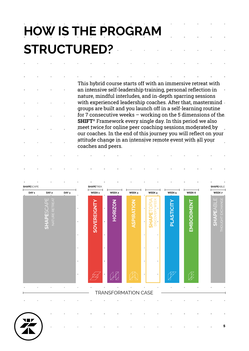# **HOW IS THE PROGRAM STRUCTURED?**

This hybrid course starts off with an immersive retreat with an intensive self-leadership training, personal reflection in nature, mindful interludes, and in-depth sparring sessions with experienced leadership coaches. After that, mastermind groups are built and you launch off in a self-learning routine for 7 consecutive weeks – working on the 5 dimensions of the **SHIFT**® Framework every single day. In this period we also meet twice for online peer coaching sessions moderated by our coaches. In the end of this journey you will reflect on your attitude change in an intensive remote event with all your coaches and peers.

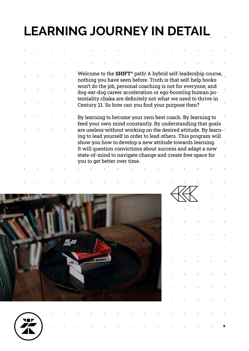# **LEARNING JOURNEY IN DETAIL**

Welcome to the **SHIFT**® path! A hybrid self-leadership course, nothing you have seen before. Truth is that self-help books won't do the job, personal coaching is not for everyone, and dog-eat-dog career acceleration or ego-boosting human potentiality chaka are definitely not what we need to thrive in Century 21. So how can you find your purpose then?

By learning to become your own best coach. By learning to feed your own mind constantly. By understanding that goals are useless without working on the desired attitude. By learning to lead yourself in order to lead others. This program will show you how to develop a new attitude towards learning. It will question convictions about success and adapt a new state-of-mind to navigate change and create free space for you to get better over time.





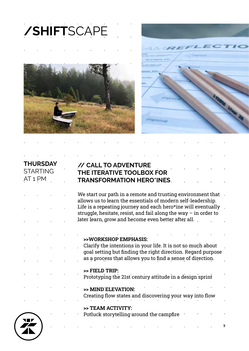





## 7 **THURSDAY STARTING** AT 1 PM **// CALL TO ADVENTURE THE ITERATIVE TOOLBOX FOR TRANSFORMATION HERO\*INES** We start our path in a remote and trusting environment that allows us to learn the essentials of modern self-leadership. Life is a repeating journey and each hero\*ine will eventually struggle, hesitate, resist, and fail along the way  $-$  in order to later learn, grow and become even better after all. **>>WORKSHOP EMPHASIS:** Clarify the intentions in your life. It is not so much about goal setting but finding the right direction. Regard purpose as a process that allows you to find a sense of direction. **>> FIELD TRIP:** Prototyping the 21st century attitude in a design sprint **>> MIND ELEVATION:** Creating flow states and discovering your way into flow **>> TEAM ACTIVITY:** Potluck storytelling around the campfire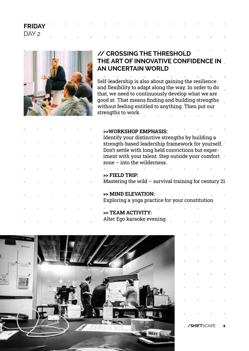### **FRIDAY** DAY 2



## **// CROSSING THE THRESHOLD THE ART OF INNOVATIVE CONFIDENCE IN AN UNCERTAIN WORLD**

Self-leadership is also about gaining the resilience and flexibility to adapt along the way. In order to do that, we need to continuously develop what we are good at. That means finding and building strengths without feeling entitled to anything. Then put our strengths to work.

### **>>WORKSHOP EMPHASIS:**

Identify your distinctive strengths by building a strength-based leadership framework for yourself. Don't settle with long held convictions but experiment with your talent. Step outside your comfort zone – into the wilderness.

### **>> FIELD TRIP:**

Mastering the wild  $-$  survival training for century 21

### **>> MIND ELEVATION:**

Exploring a yoga practice for your constitution

### **>> TEAM ACTIVITY:** Alter Ego karaoke evening

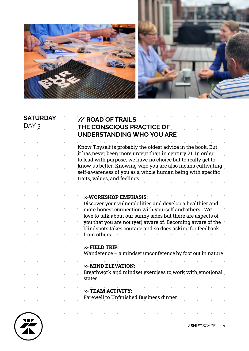

i.

í,

í,

 $\bar{\bar{z}}$ 

 $\bar{a}$ 

 $\bar{\phantom{a}}$ 

 $\bar{1}$ 

 $\bar{1}$ 

i,

 $\bar{z}$ 

à.

í.



| <b>SATURDAY</b><br>DAY 3 |  | // ROAD OF TRAILS<br>THE CONSCIOUS PRACTICE OF<br><b>UNDERSTANDING WHO YOU ARE</b>                                        |
|--------------------------|--|---------------------------------------------------------------------------------------------------------------------------|
|                          |  | Know Thyself is probably the oldest advice in the book. But<br>it has never been more urgent than in century 21. In order |
|                          |  | to lead with purpose, we have no choice but to really get to                                                              |
|                          |  | know us better. Knowing who you are also means cultivating<br>self-awareness of you as a whole human being with specific  |
|                          |  | traits, values, and feelings.                                                                                             |
|                          |  | >>WORKSHOP EMPHASIS:                                                                                                      |
|                          |  | Discover your vulnerabilities and develop a healthier and                                                                 |
|                          |  | more honest connection with yourself and others. We                                                                       |
|                          |  | love to talk about our sunny sides but there are aspects of                                                               |
|                          |  | you that you are not (yet) aware of. Becoming aware of the<br>blindspots takes courage and so does asking for feedback    |
|                          |  | from others.                                                                                                              |
|                          |  | >> FIELD TRIP:                                                                                                            |
|                          |  | Wanderence $-$ a mindset unconference by foot out in nature                                                               |
|                          |  |                                                                                                                           |
|                          |  | >> MIND ELEVATION:                                                                                                        |
|                          |  | Breathwork and mindset exercises to work with emotional<br>states                                                         |
|                          |  | >> TEAM ACTIVITY:                                                                                                         |
|                          |  | Farewell to Unfinished Business dinner                                                                                    |
|                          |  |                                                                                                                           |
|                          |  |                                                                                                                           |
|                          |  | /SHIFTSCAPE                                                                                                               |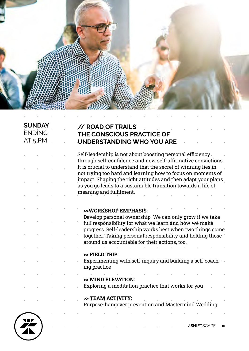

### **SUNDAY** ENDING AT 5 PM

### **// ROAD OF TRAILS THE CONSCIOUS PRACTICE OF UNDERSTANDING WHO YOU ARE**

Self-leadership is not about boosting personal efficiency through self-confidence and new self-affirmative convictions. It is crucial to understand that the secret of winning lies in not trying too hard and learning how to focus on moments of impact. Shaping the right attitudes and then adapt your plans as you go leads to a sustainable transition towards a life of meaning and fulfilment.

### **>>WORKSHOP EMPHASIS:**

Develop personal ownership. We can only grow if we take full responsibility for what we learn and how we make progress. Self-leadership works best when two things come together: Taking personal responsibility and holding those  $\blacksquare$ around us accountable for their actions, too.

### **>> FIELD TRIP:**

Experimenting with self-inquiry and building a self-coaching practice

### **>> MIND ELEVATION:**

Exploring a meditation practice that works for you

### **>> TEAM ACTIVITY:**

Purpose-hangover prevention and Mastermind Wedding



10 **/SHIFT**SCAPE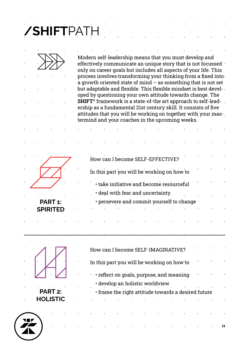**/SHIFT**PATH



Modern self-leadership means that you must develop and effectively communicate an unique story that is not focussed only on career goals but includes all aspects of your life. This process involves transforming your thinking from a fixed into  $\overline{a}$  growth oriented state of mind – as something that is not set but adaptable and flexible. This flexible mindset is best developed by questioning your own attitude towards change. The **SHIFT**® framework is a state-of-the art approach to self-leadership as a fundamental 21st century skill. It consists of five attitudes that you will be working on together with your mastermind and your coaches in the upcoming weeks.

| ш | ш<br>ш              | Ш |  |  |  |  |  |  |  |  |  |
|---|---------------------|---|--|--|--|--|--|--|--|--|--|
| ш | ш                   |   |  |  |  |  |  |  |  |  |  |
| п |                     | ш |  |  |  |  |  |  |  |  |  |
| ш | п<br>ш              | ш |  |  |  |  |  |  |  |  |  |
|   | PART <sub>1</sub> : |   |  |  |  |  |  |  |  |  |  |

**SPIRITED**

| ш<br>ш<br>ш<br>How can I become SELF-EFFECTIVE? | × |
|-------------------------------------------------|---|
| In this part you will be working on how to      | ш |
| • take initiative and become resourceful        | × |
| $\cdot$ deal with fear and uncertainty.         | ш |
| • persevere and commit yourself to change       |   |
| ш                                               |   |
|                                                 |   |

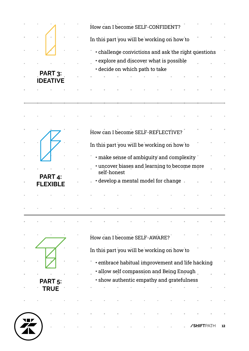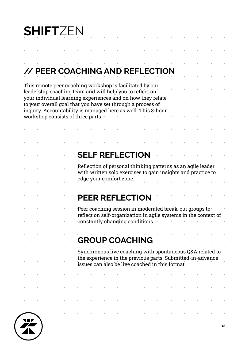# **SHIFT**ZEN

## **// PEER COACHING AND REFLECTION**

| This remote peer coaching workshop is facilitated by our<br>leadership coaching team and will help you to reflect on<br>your individual learning experiences and on how they relate |  |                                                                                                                             |  |  |  |                         |                        |                                                 |  |  |  |                                                                                                                             |  |  |
|-------------------------------------------------------------------------------------------------------------------------------------------------------------------------------------|--|-----------------------------------------------------------------------------------------------------------------------------|--|--|--|-------------------------|------------------------|-------------------------------------------------|--|--|--|-----------------------------------------------------------------------------------------------------------------------------|--|--|
|                                                                                                                                                                                     |  | to your overall goal that you have set through a process of<br>inquiry. Accountability is managed here as well. This 3-hour |  |  |  |                         |                        |                                                 |  |  |  |                                                                                                                             |  |  |
| workshop consists of three parts: "                                                                                                                                                 |  |                                                                                                                             |  |  |  |                         |                        |                                                 |  |  |  |                                                                                                                             |  |  |
|                                                                                                                                                                                     |  |                                                                                                                             |  |  |  |                         |                        |                                                 |  |  |  |                                                                                                                             |  |  |
|                                                                                                                                                                                     |  |                                                                                                                             |  |  |  |                         |                        |                                                 |  |  |  |                                                                                                                             |  |  |
|                                                                                                                                                                                     |  |                                                                                                                             |  |  |  |                         | <b>SELF REFLECTION</b> |                                                 |  |  |  |                                                                                                                             |  |  |
|                                                                                                                                                                                     |  |                                                                                                                             |  |  |  |                         |                        |                                                 |  |  |  | Reflection of personal thinking patterns as an agile leader<br>with written solo exercises to gain insights and practice to |  |  |
|                                                                                                                                                                                     |  |                                                                                                                             |  |  |  | edge your comfort zone. |                        |                                                 |  |  |  |                                                                                                                             |  |  |
|                                                                                                                                                                                     |  |                                                                                                                             |  |  |  |                         | <b>PEER REFLECTION</b> |                                                 |  |  |  |                                                                                                                             |  |  |
|                                                                                                                                                                                     |  |                                                                                                                             |  |  |  |                         |                        |                                                 |  |  |  | Peer coaching session in moderated break-out groups to<br>reflect on self-organization in agile systems in the context of   |  |  |
|                                                                                                                                                                                     |  |                                                                                                                             |  |  |  |                         |                        | constantly changing conditions.                 |  |  |  |                                                                                                                             |  |  |
|                                                                                                                                                                                     |  |                                                                                                                             |  |  |  |                         | <b>GROUP COACHING</b>  |                                                 |  |  |  |                                                                                                                             |  |  |
|                                                                                                                                                                                     |  |                                                                                                                             |  |  |  |                         |                        |                                                 |  |  |  | Synchronous live coaching with spontaneous Q&A related to                                                                   |  |  |
|                                                                                                                                                                                     |  |                                                                                                                             |  |  |  |                         |                        | issues can also be live coached in this format. |  |  |  | the experience in the previous parts. Submitted-in-advance                                                                  |  |  |
|                                                                                                                                                                                     |  | and the contract of the contract of the contract of the contract of the contract of the contract of                         |  |  |  |                         |                        |                                                 |  |  |  |                                                                                                                             |  |  |
|                                                                                                                                                                                     |  |                                                                                                                             |  |  |  |                         |                        |                                                 |  |  |  |                                                                                                                             |  |  |
|                                                                                                                                                                                     |  | and the contract of the contract of the contract of the contract of the contract of the contract of                         |  |  |  |                         |                        |                                                 |  |  |  |                                                                                                                             |  |  |

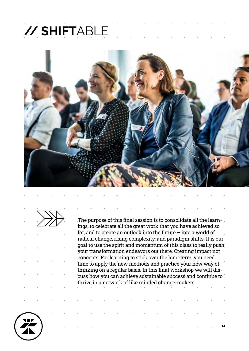# **// SHIFT**ABLE





The purpose of this final session is to consolidate all the learnings, to celebrate all the great work that you have achieved so far, and to create an outlook into the future – into a world of radical change, rising complexity, and paradigm shifts. It is our goal to use the spirit and momentum of this class to really push your transformation endeavors out there. Creating impact not concepts! For learning to stick over the long-term, you need time to apply the new methods and practice your new way of thinking on a regular basis. In this final workshop we will discuss how you can achieve sustainable success and continue to thrive in a network of like minded change-makers.

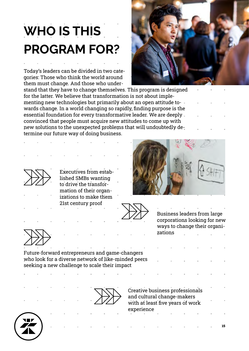# **WHO IS THIS PROGRAM FOR?**

Today's leaders can be divided in two categories: Those who think the world around them must change. And those who under-



stand that they have to change themselves. This program is designed for the latter. We believe that transformation is not about implementing new technologies but primarily about an open attitude towards change. In a world changing so rapidly, finding purpose is the essential foundation for every transformative leader. We are deeply convinced that people must acquire new attitudes to come up with new solutions to the unexpected problems that will undoubtedly determine our future way of doing business.



Executives from established SMBs wanting to drive the transformation of their organizations to make them 21st century proof

Business leaders from large corporations looking for new ways to change their organizations



Future-forward entrepreneurs and game-changers who look for a diverse network of like-minded peers seeking a new challenge to scale their impact



Creative business professionals and cultural change-makers with at least five years of work experience

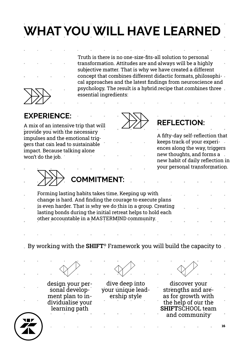# **WHAT YOU WILL HAVE LEARNED**

Truth is there is no one-size-fits-all solution to personal transformation. Attitudes are and always will be a highly subjective matter. That is why we have created a different concept that combines different didactic formats, philosophical approaches and the latest findings from neuroscience and psychology. The result is a hybrid recipe that combines three essential ingredients:

**EXPERIENCE:**

A mix of an intensive trip that will provide you with the necessary impulses and the emotional triggers that can lead to sustainable impact. Because talking alone won't do the job.



## **REFLECTION:**

A fifty-day self-reflection that keeps track of your experiences along the way, triggers new thoughts, and forms a new habit of daily reflection in your personal transformation.



**COMMITMENT:**

Forming lasting habits takes time. Keeping up with change is hard. And finding the courage to execute plans is even harder. That is why we do this in a group. Creating lasting bonds during the initial retreat helps to hold each other accountable in a MASTERMIND community.

By working with the **SHIFT**® Framework you will build the capacity to

design your personal development plan to individualise your learning path

dive deep into your unique leadership style

discover your strengths and areas for growth with the help of our the **SHIFT**SCHOOL team and community

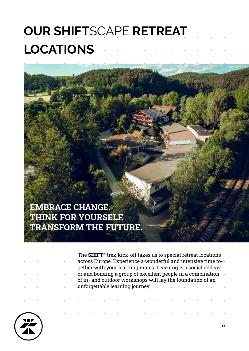# **OUR SHIFT**SCAPE **RETREAT LOCATIONS**

## **EMBRACE CHANGE. THINK FOR YOURSELF. TRANSFORM THE FUTURE.**

The **SHIFT**® trek kick-off takes us to special retreat locations across Europe. Experience a wonderful and intensive time together with your learning mates. Learning is a social endeavor and bonding a group of excellent people in a combination of in- and outdoor workshops will lay the foundation of an unforgettable learning journey

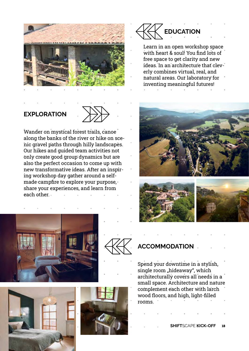

## **EXPLORATION**



Wander on mystical forest trails, canoe along the banks of the river or hike on scenic gravel paths through hilly landscapes. Our hikes and guided team activities not only create good group dynamics but are also the perfect occasion to come up with new transformative ideas. After an inspiring workshop day gather around a selfmade campfire to explore your purpose, share your experiences, and learn from each other.









Learn in an open workshop space with heart & soul! You find lots of free space to get clarity and new ideas. In an architecture that cleverly combines virtual, real, and natural areas. Our laboratory for inventing meaningful futures!







## **ACCOMMODATION**

Spend your downtime in a stylish, single room "hideaway", which architecturally covers all needs in a small space. Architecture and nature complement each other with larch wood floors, and high, light-filled rooms.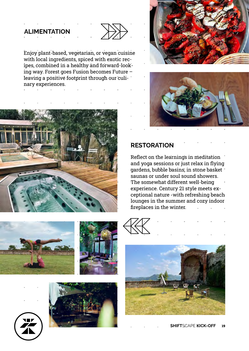### **ALIMENTATION**



Enjoy plant-based, vegetarian, or vegan cuisine with local ingredients, spiced with exotic recipes, combined in a healthy and forward-looking way. Forest goes Fusion becomes Future – leaving a positive footprint through our culinary experiences.







## **RESTORATION**

Reflect on the learnings in meditation and yoga sessions or just relax in flying gardens, bubble basins, in stone basket saunas or under soul sound showers. The somewhat different well-being experience. Century 21 style meets exceptional nature -with refreshing beach lounges in the summer and cozy indoor fireplaces in the winter.











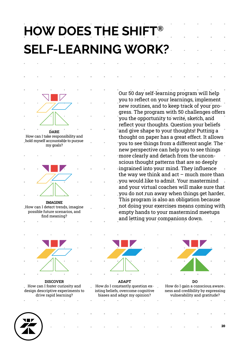## **HOW DOES THE SHIFT® SELF-LEARNING WORK?**



drive rapid learning?



**ADAPT** How do I constantly question existing beliefs, overcome cognitive biases and adapt my opinion?

Our 50 day self-learning program will help you to reflect on your learnings, implement new routines, and to keep track of your progress. The program with 50 challenges offers you the opportunity to write, sketch, and reflect your thoughts. Question your beliefs and give shape to your thoughts! Putting a thought on paper has a great effect. It allows "you to see things from a different angle. The " new perspective can help you to see things more clearly and detach from the unconscious thought patterns that are so deeply ingrained into your mind. They influence the way we think and  $act$  – much more than you would like to admit. Your mastermind and your virtual coaches will make sure that you do not run away when things get harder. This program is also an obligation because not doing your exercises means coming with empty hands to your mastermind meetups

and letting your companions down.

**DO** How do I gain a conscious awareness and credibility by expressing vulnerability and gratitude?

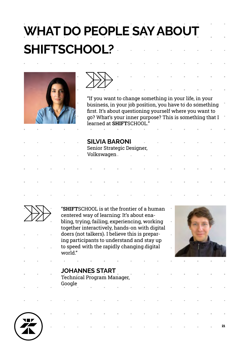# **WHAT DO PEOPLE SAY ABOUT SHIFTSCHOOL?**





"If you want to change something in your life, in your business, in your job position, you have to do something first. It's about questioning yourself where you want to go? What's your inner purpose? This is something that I learned at **SHIFT**SCHOOL."

| ×.       |    |               | <b>SILVIA BARONI</b><br>Senior Strategic Designer, |                       | n.                                | the control of the control of |                          | m.             | $\sim 10$      | п.            |  |
|----------|----|---------------|----------------------------------------------------|-----------------------|-----------------------------------|-------------------------------|--------------------------|----------------|----------------|---------------|--|
| $\alpha$ |    | Volkswagen.   |                                                    | à.                    | the control of the control of the |                               | <b>Contract Contract</b> | $\mathcal{M}$  | $\mathcal{M}$  | $\mathcal{M}$ |  |
| n.       | m. | <b>Burney</b> | <b>Burney</b>                                      | <b>Burney College</b> | $\pm$                             | <b>Contract Contract</b>      | <b>Contract Contract</b> | m.             | $\sim$ 10      | $\pm$         |  |
| n.       | m. | п.            | <b>Burney</b>                                      | $\mathbb{R}^n$        | 11.10                             | <b>Contract Contract</b>      | <b>CONTRACTOR</b>        | $\mathbb{R}^n$ | $\sim$ 10 $\,$ | $\mathcal{M}$ |  |
|          |    |               |                                                    |                       |                                   |                               |                          |                |                |               |  |



"**SHIFT**SCHOOL is at the frontier of a human centered way of learning: It's about enabling, trying, failing, experiencing, working together interactively, hands-on with digital doers (not talkers). I believe this is preparing participants to understand and stay up to speed with the rapidly changing digital world."



21

## **JOHANNES START**

Technical Program Manager, Google

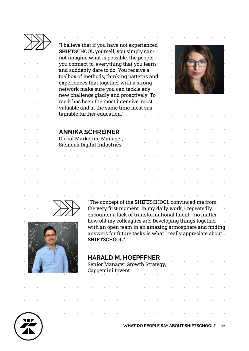"I believe that if you have not experienced **SHIFT**SCHOOL yourself, you simply cannot imagine what is possible: the people you connect to, everything that you learn and suddenly dare to do. You receive a toolbox of methods, thinking patterns and experiences that together with a strong network make sure you can tackle any new challenge gladly and proactively. To me it has been the most intensive, most valuable and at the same time most sustainable further education."



### **ANNIKA SCHREINER**

Global Marketing Manager, Siemens Digital Industries





"The concept of the **SHIFT**SCHOOL convinced me from the very first moment. In my daily work, I repeatedly encounter a lack of transformational talent - no matter how old my colleagues are. Developing things together with an open team in an amazing atmosphere and finding answers for future tasks is what I really appreciate about **SHIFT**SCHOOL."

## **HARALD M. HOEPFFNER** Senior Manager Growth Strategy, Capgemini Invent

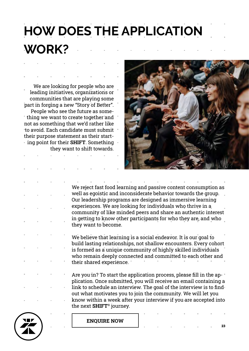# **HOW DOES THE APPLICATION WORK?**

We are looking for people who are leading initiatives, organizations or communities that are playing some part in forging a new "Story of Better". People who see the future as something we want to create together and not as something that we'd rather like to avoid. Each candidate must submit their purpose statement as their starting point for their **SHIFT**. Something they want to shift towards.



We reject fast food learning and passive content consumption as well as egoistic and inconsiderate behavior towards the group. Our leadership programs are designed as immersive learning experiences. We are looking for individuals who thrive in a community of like minded peers and share an authentic interest in getting to know other participants for who they are, and who they want to become.

We believe that learning is a social endeavor. It is our goal to build lasting relationships, not shallow encounters. Every cohort is formed as a unique community of highly skilled individuals who remain deeply connected and committed to each other and their shared experience.

Are you in? To start the application process, please fill in the application. Once submitted, you will receive an email containing a link to schedule an interview. The goal of the interview is to find out what motivates you to join the community. We will let you know within a week after your interview if you are accepted into the next **SHIFT**® journey.



**[ENQUIRE NOW](https://shiftshape.club/shift#register)**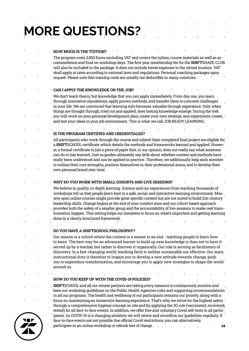# **MORE QUESTIONS?**

#### **HOW MUCH IS THE TUITION?**

The program costs 3,500 Euros excluding VAT and covers the tuition, course materials as well as accommodation and food on workshop days. The first year membership fee for the **SHIFT**SHAPE CLUB will also be included in the package. It does not include travel expenses to the retreat location. VAT shall apply at rates according to national laws and regulations. Personal coaching packages upon request. Please note that training costs are usually tax deductible in many countries.

#### **CAN I APPLY THE KNOWLEDGE ON THE JOB?**

We don't teach theory, but knowledge that you can apply immediately. From day one, you learn through innovative simulations, apply proven methods, and transfer them to concrete challenges in your life. We are convinced that learning only becomes valuable through experience. Only when things are thought through, tried out and applied, does lasting knowledge emerge. During the trek you will work on your personal development plan, create your own strategy, and experiment, create, and test your ideas in your job environment. This is what we call JOB READY LEARNING.

### **IS THE PROGRAM CERTIFIED AND CREDENTIALED?**

All participants who work through the course and submit their completed final project are eligible for a **SHIFT**SCHOOL certificate which details the methods and frameworks learned and applied. However, a formal certificate is just a piece of paper that, in our opinion, does not really say what someone can do or has learned. Just as grades ultimately say little about whether content and methods have really been understood and can be applied in practice. Therefore, we additionally help each member to outline their core strengths, position themselves in their professional arena, and to develop their own personal brand over time.

#### **WHY DO YOU WORK WITH SMALL COHORTS AND LIVE SESSIONS?**

We believe in quality, in-depth learning. Science and our experiences from teaching thousands of workshops tell us that people learn best in a safe, social, and interactive learning environment. Massive open online courses might provide great specific content but are not suited to build 21st century leadership skills. Change begins at the end of your comfort zone and our cohort-based approach provides both the safety of a smaller group and the accountability of live sessions to make real transformation happen. This setting helps our members to focus on what's important and getting learning done in a clearly structured framework.

#### **DO YOU HAVE A SHIFTSCHOOL PHILOSOPHY?**

Our maxim is a school where the content is a means to an end - teaching people to learn how to learn. The best way for an advanced learner to build up new knowledge is then not to have it served up by a teacher, but rather to discover it organically. Our role is serving as facilitators of discovery. In a fast-changing world, teaching facts is neither sustainable nor effective. Our main instructional duty is therefore to inspire you to develop a new attitude towards change, push you to experience transformation, and encourage you to apply new strategies to shape the world around us.

#### **HOW DO YOU KEEP UP WITH THE COVID-19 POLICIES?**

**SHIFT**SCHOOL and all our retreat partners are taking every measure to continuously monitor and base our workshop guidelines on the Public Health Agencies rules and supporting recommendations in all our programs. The health and wellbeing of our participants remains our priority, along with a focus on maintaining an immersive learning experience. That's why we strive for the highest safety

through a comprehensive hygiene concept on site and by applying the 3G rule (vaccinated, recovered, tested) for all face-to-face events. In addition, we offer free and voluntary Covid self-tests to all participants. As COVID-19 is a changing situation we will renew and reconfirm our guidelines regularly. If face-to-face events are not possible due official Covid restrictions, you can alternatively



24 participate in an online workshop or rebook free of charge.